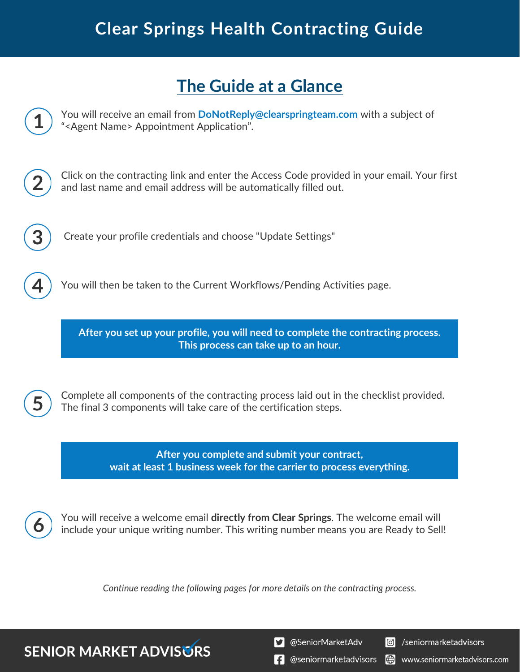## **Clear Springs Health Contracting Guide**

## **The Guide at a Glance**

You will receive an email from **[DoNotReply@clearspringteam.com](mailto:DoNotReply@clearspringteam.com)** with a subject of "<Agent Name> Appointment Application".

Click on the contracting link and enter the Access Code provided in your email. Your first and last name and email address will be automatically filled out.

Create your profile credentials and choose "Update Settings"

You will then be taken to the Current Workflows/Pending Activities page.

**After you set up your profile, you will need to complete the contracting process. This process can take up to an hour.**



Complete all components of the contracting process laid out in the checklist provided. The final 3 components will take care of the certification steps.

> **After you complete and submit your contract, wait at least 1 business week for the carrier to process everything.**



You will receive a welcome email **directly from Clear Springs**. The welcome email will include your unique writing number. This writing number means you are Ready to Sell!

*Continue reading the following pages for more details on the contracting process.*

**SENIOR MARKET ADVISURS** 

S @SeniorMarketAdv

Seniormarketadvisors

 $\left| \cdot \right|$  @seniormarketadvisors (.) www.seniormarketadvisors.com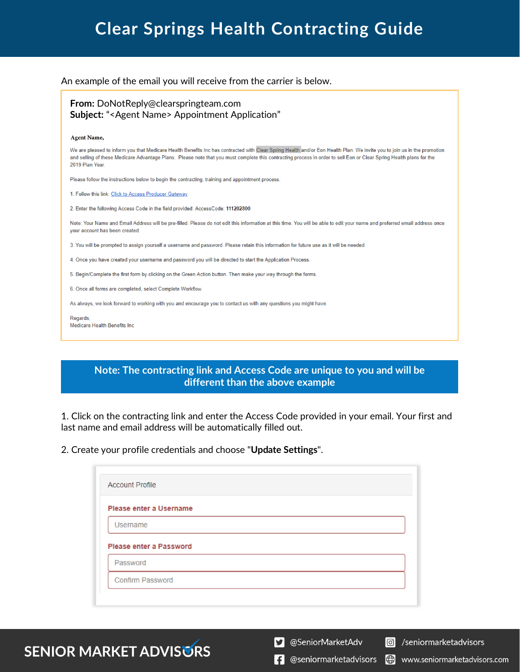## **Clear Springs Health Contracting Guide**

### An example of the email you will receive from the carrier is below.

### **From:** DoNotReply@clearspringteam.com  **Subject:** "<Agent Name> Appointment Application"

#### **Agent Name,**

We are pleased to inform you that Medicare Health Benefits Inc has contracted with Clear Spring Health and/or Eon Health Plan. We invite you to join us in the promotion and selling of these Medicare Advantage Plans. Please note that you must complete this contracting process in order to sell Eon or Clear Spring Health plans for the 2019 Plan Year

Please follow the instructions below to begin the contracting, training and appointment process.

1. Follow this link: Click to Access Producer Gateway

2. Enter the following Access Code in the field provided: AccessCode: 111202800

Note: Your Name and Email Address will be pre-filled. Please do not edit this information at this time. You will be able to edit your name and preferred email address once your account has been created.

3. You will be prompted to assign yourself a username and password. Please retain this information for future use as it will be needed.

4. Once you have created your username and password you will be directed to start the Application Process.

5. Begin/Complete the first form by clicking on the Green Action button. Then make your way through the forms.

6. Once all forms are completed, select Complete Workflow

As always, we look forward to working with you and encourage you to contact us with any questions you might have

Regards Medicare Health Benefits Inc

### **Note: The contracting link and Access Code are unique to you and will be different than the above example**

1. Click on the contracting link and enter the Access Code provided in your email. Your first and last name and email address will be automatically filled out.

2. Create your profile credentials and choose "**Update Settings**".

| Please enter a Username |  |
|-------------------------|--|
| Username                |  |
|                         |  |
|                         |  |
| Please enter a Password |  |
| Password                |  |

**SENIOR MARKET ADVISURS** 

S @SeniorMarketAdv

 $\lvert \mathbf{C} \rvert$ /seniormarketadvisors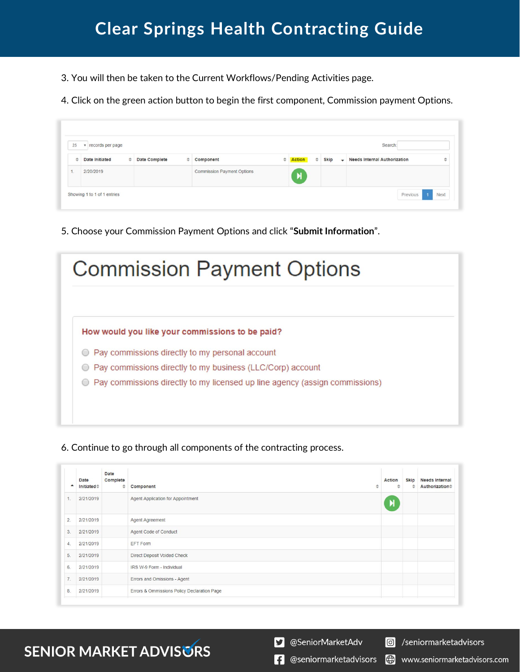3. You will then be taken to the Current Workflows/Pending Activities page.

4. Click on the green action button to begin the first component, Commission payment Options.

| v records per page<br>25 |                |               |                      |               | Search:                           |                       |        |             |                          |                                     |   |
|--------------------------|----------------|---------------|----------------------|---------------|-----------------------------------|-----------------------|--------|-------------|--------------------------|-------------------------------------|---|
| $\Rightarrow$            | Date Initiated | $\Rightarrow$ | <b>Date Complete</b> | $\Rightarrow$ | Component                         | $\triangleq$ Action   | $\div$ | <b>Skip</b> | $\overline{\phantom{0}}$ | <b>Needs Internal Authorization</b> | ÷ |
|                          | 2/20/2019      |               |                      |               | <b>Commission Payment Options</b> | $\blacktriangleright$ |        |             |                          |                                     |   |

5. Choose your Commission Payment Options and click "**Submit Information**".

| <b>Commission Payment Options</b>                                                                  |
|----------------------------------------------------------------------------------------------------|
| How would you like your commissions to be paid?<br>Pay commissions directly to my personal account |
| Pay commissions directly to my business (LLC/Corp) account                                         |
| Pay commissions directly to my licensed up line agency (assign commissions)                        |
|                                                                                                    |
|                                                                                                    |

6. Continue to go through all components of the contracting process.

|    | Date<br>Initiated≑ | Date<br>Complete<br>≑ | Component<br>₫                              | Action<br>ĉ  | <b>Skip</b><br>÷ | <b>Needs Internal</b><br><b>Authorization</b> # |
|----|--------------------|-----------------------|---------------------------------------------|--------------|------------------|-------------------------------------------------|
| 1. | 2/21/2019          |                       | Agent Application for Appointment           | $\mathbf{M}$ |                  |                                                 |
| 2. | 2/21/2019          |                       | Agent Agreement                             |              |                  |                                                 |
| 3. | 2/21/2019          |                       | Agent Code of Conduct                       |              |                  |                                                 |
| 4. | 2/21/2019          |                       | EFT Form                                    |              |                  |                                                 |
| 5. | 2/21/2019          |                       | Direct Deposit Voided Check                 |              |                  |                                                 |
| 6. | 2/21/2019          |                       | IRS W-9 Form - Individual                   |              |                  |                                                 |
| 7. | 2/21/2019          |                       | Errors and Omissions - Agent                |              |                  |                                                 |
| 8. | 2/21/2019          |                       | Errors & Ommissions Policy Declaration Page |              |                  |                                                 |

# **SENIOR MARKET ADVISURS**

S @SeniorMarketAdv

 $\left| \cdot \right|$  @seniormarketadvisors www.seniormarketadvisors.com